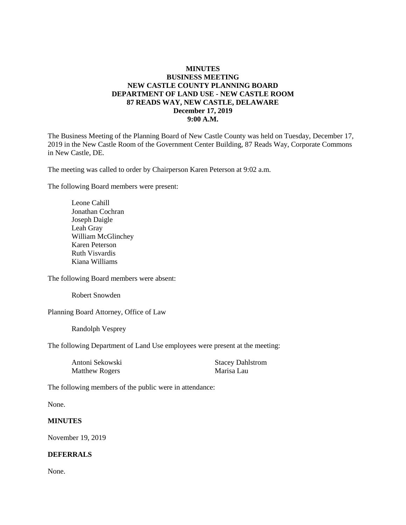## **MINUTES BUSINESS MEETING NEW CASTLE COUNTY PLANNING BOARD DEPARTMENT OF LAND USE - NEW CASTLE ROOM 87 READS WAY, NEW CASTLE, DELAWARE December 17, 2019 9:00 A.M.**

The Business Meeting of the Planning Board of New Castle County was held on Tuesday, December 17, 2019 in the New Castle Room of the Government Center Building, 87 Reads Way, Corporate Commons in New Castle, DE.

The meeting was called to order by Chairperson Karen Peterson at 9:02 a.m.

The following Board members were present:

Leone Cahill Jonathan Cochran Joseph Daigle Leah Gray William McGlinchey Karen Peterson Ruth Visvardis Kiana Williams

The following Board members were absent:

Robert Snowden

Planning Board Attorney, Office of Law

Randolph Vesprey

The following Department of Land Use employees were present at the meeting:

| Antoni Sekowski       | <b>Stacey Dahlstrom</b> |
|-----------------------|-------------------------|
| <b>Matthew Rogers</b> | Marisa Lau              |

The following members of the public were in attendance:

None.

## **MINUTES**

November 19, 2019

## **DEFERRALS**

None.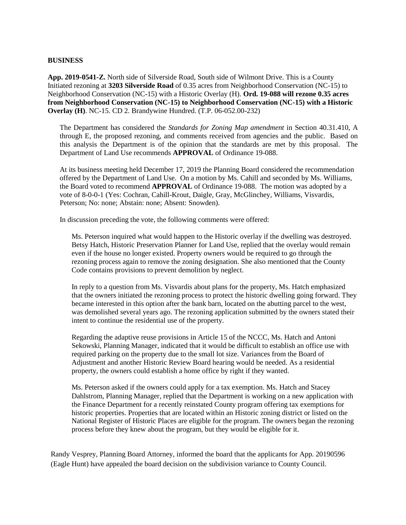#### **BUSINESS**

**App. 2019-0541-Z.** North side of Silverside Road, South side of Wilmont Drive. This is a County Initiated rezoning at **3203 Silverside Road** of 0.35 acres from Neighborhood Conservation (NC-15) to Neighborhood Conservation (NC-15) with a Historic Overlay (H). **Ord. 19-088 will rezone 0.35 acres from Neighborhood Conservation (NC-15) to Neighborhood Conservation (NC-15) with a Historic Overlay (H)**. NC-15. CD 2. Brandywine Hundred. (T.P. 06-052.00-232)

The Department has considered the *Standards for Zoning Map amendment* in Section 40.31.410, A through E, the proposed rezoning, and comments received from agencies and the public. Based on this analysis the Department is of the opinion that the standards are met by this proposal. The Department of Land Use recommends **APPROVAL** of Ordinance 19-088.

At its business meeting held December 17, 2019 the Planning Board considered the recommendation offered by the Department of Land Use. On a motion by Ms. Cahill and seconded by Ms. Williams, the Board voted to recommend **APPROVAL** of Ordinance 19-088. The motion was adopted by a vote of 8-0-0-1 (Yes: Cochran, Cahill-Krout, Daigle, Gray, McGlinchey, Williams, Visvardis, Peterson; No: none; Abstain: none; Absent: Snowden).

In discussion preceding the vote, the following comments were offered:

Ms. Peterson inquired what would happen to the Historic overlay if the dwelling was destroyed. Betsy Hatch, Historic Preservation Planner for Land Use, replied that the overlay would remain even if the house no longer existed. Property owners would be required to go through the rezoning process again to remove the zoning designation. She also mentioned that the County Code contains provisions to prevent demolition by neglect.

In reply to a question from Ms. Visvardis about plans for the property, Ms. Hatch emphasized that the owners initiated the rezoning process to protect the historic dwelling going forward. They became interested in this option after the bank barn, located on the abutting parcel to the west, was demolished several years ago. The rezoning application submitted by the owners stated their intent to continue the residential use of the property.

Regarding the adaptive reuse provisions in Article 15 of the NCCC, Ms. Hatch and Antoni Sekowski, Planning Manager, indicated that it would be difficult to establish an office use with required parking on the property due to the small lot size. Variances from the Board of Adjustment and another Historic Review Board hearing would be needed. As a residential property, the owners could establish a home office by right if they wanted.

Ms. Peterson asked if the owners could apply for a tax exemption. Ms. Hatch and Stacey Dahlstrom, Planning Manager, replied that the Department is working on a new application with the Finance Department for a recently reinstated County program offering tax exemptions for historic properties. Properties that are located within an Historic zoning district or listed on the National Register of Historic Places are eligible for the program. The owners began the rezoning process before they knew about the program, but they would be eligible for it.

Randy Vesprey, Planning Board Attorney, informed the board that the applicants for App. 20190596 (Eagle Hunt) have appealed the board decision on the subdivision variance to County Council.